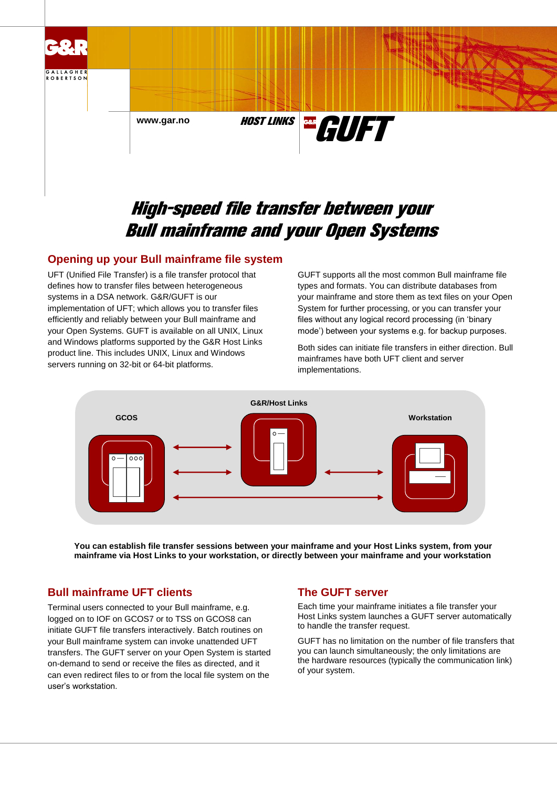

# High-speed file transfer between your Bull mainframe and your Open Systems

## **Opening up your Bull mainframe file system**

UFT (Unified File Transfer) is a file transfer protocol that defines how to transfer files between heterogeneous systems in a DSA network. G&R/GUFT is our implementation of UFT; which allows you to transfer files efficiently and reliably between your Bull mainframe and your Open Systems. GUFT is available on all UNIX, Linux and Windows platforms supported by the G&R Host Links product line. This includes UNIX, Linux and Windows servers running on 32-bit or 64-bit platforms.

GUFT supports all the most common Bull mainframe file types and formats. You can distribute databases from your mainframe and store them as text files on your Open System for further processing, or you can transfer your files without any logical record processing (in 'binary mode') between your systems e.g. for backup purposes.

Both sides can initiate file transfers in either direction. Bull mainframes have both UFT client and server implementations.



**You can establish file transfer sessions between your mainframe and your Host Links system, from your mainframe via Host Links to your workstation, or directly between your mainframe and your workstation**

# **Bull mainframe UFT clients**

Terminal users connected to your Bull mainframe, e.g. logged on to IOF on GCOS7 or to TSS on GCOS8 can initiate GUFT file transfers interactively. Batch routines on your Bull mainframe system can invoke unattended UFT transfers. The GUFT server on your Open System is started on-demand to send or receive the files as directed, and it can even redirect files to or from the local file system on the user's workstation.

# **The GUFT server**

Each time your mainframe initiates a file transfer your Host Links system launches a GUFT server automatically to handle the transfer request.

GUFT has no limitation on the number of file transfers that you can launch simultaneously; the only limitations are the hardware resources (typically the communication link) of your system.